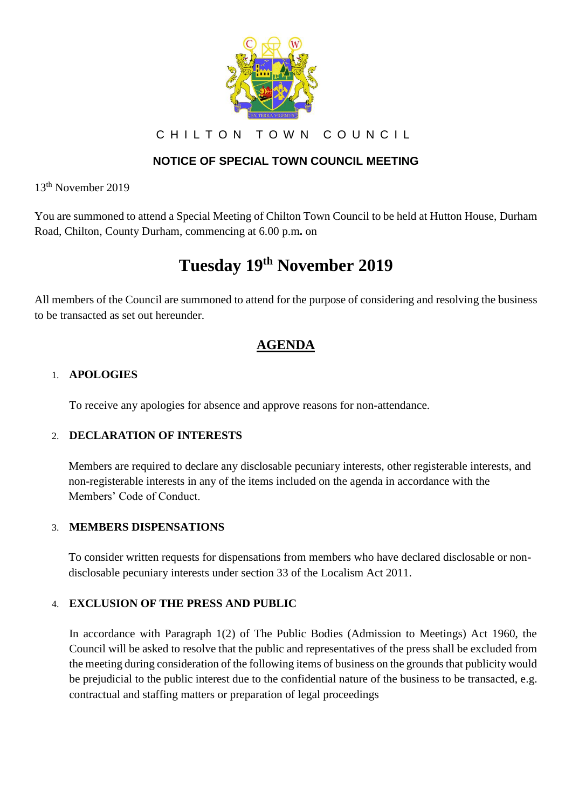

CHILTON TOWN COUNCIL

### **NOTICE OF SPECIAL TOWN COUNCIL MEETING**

13th November 2019

You are summoned to attend a Special Meeting of Chilton Town Council to be held at Hutton House, Durham Road, Chilton, County Durham, commencing at 6.00 p.m**.** on

# **Tuesday 19th November 2019**

All members of the Council are summoned to attend for the purpose of considering and resolving the business to be transacted as set out hereunder.

## **AGENDA**

#### 1. **APOLOGIES**

To receive any apologies for absence and approve reasons for non-attendance.

#### 2. **DECLARATION OF INTERESTS**

Members are required to declare any disclosable pecuniary interests, other registerable interests, and non-registerable interests in any of the items included on the agenda in accordance with the Members' Code of Conduct.

#### 3. **MEMBERS DISPENSATIONS**

To consider written requests for dispensations from members who have declared disclosable or nondisclosable pecuniary interests under section 33 of the Localism Act 2011.

#### 4. **EXCLUSION OF THE PRESS AND PUBLIC**

In accordance with Paragraph 1(2) of The Public Bodies (Admission to Meetings) Act 1960, the Council will be asked to resolve that the public and representatives of the press shall be excluded from the meeting during consideration of the following items of business on the grounds that publicity would be prejudicial to the public interest due to the confidential nature of the business to be transacted, e.g. contractual and staffing matters or preparation of legal proceedings